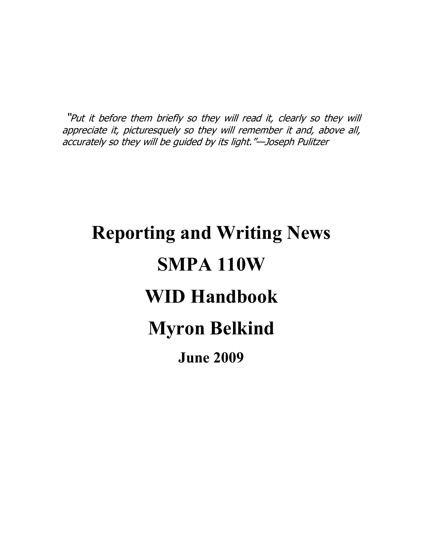"Put it before them briefly so they will read it, clearly so they will appreciate it, picturesquely so they will remember it and, above all, accurately so they will be guided by its light."—Joseph Pulitzer

# **Reporting and Writing News SMPA 110W WID Handbook Myron Belkind June 2009**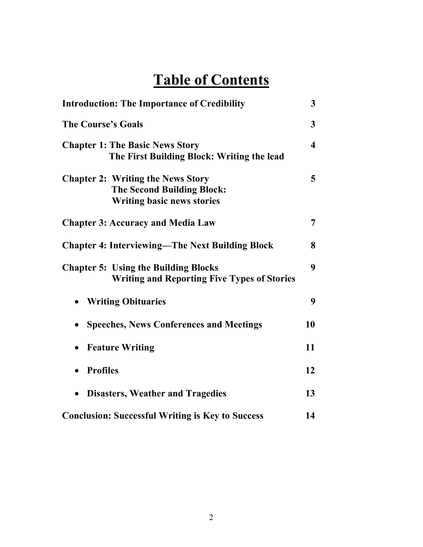# **Table of Contents**

| <b>Introduction: The Importance of Credibility</b>                                                                 | 3                       |
|--------------------------------------------------------------------------------------------------------------------|-------------------------|
| <b>The Course's Goals</b>                                                                                          | 3                       |
| <b>Chapter 1: The Basic News Story</b><br>The First Building Block: Writing the lead                               | $\overline{\mathbf{4}}$ |
| <b>Chapter 2: Writing the News Story</b><br><b>The Second Building Block:</b><br><b>Writing basic news stories</b> | 5                       |
| <b>Chapter 3: Accuracy and Media Law</b>                                                                           | 7                       |
| <b>Chapter 4: Interviewing—The Next Building Block</b>                                                             | 8                       |
| <b>Chapter 5: Using the Building Blocks</b><br><b>Writing and Reporting Five Types of Stories</b>                  | 9                       |
| • Writing Obituaries                                                                                               | 9                       |
| <b>Speeches, News Conferences and Meetings</b>                                                                     | 10                      |
| <b>Feature Writing</b>                                                                                             | 11                      |
| <b>Profiles</b><br>$\bullet$                                                                                       | 12                      |
| <b>Disasters, Weather and Tragedies</b>                                                                            | 13                      |
| <b>Conclusion: Successful Writing is Key to Success</b>                                                            | 14                      |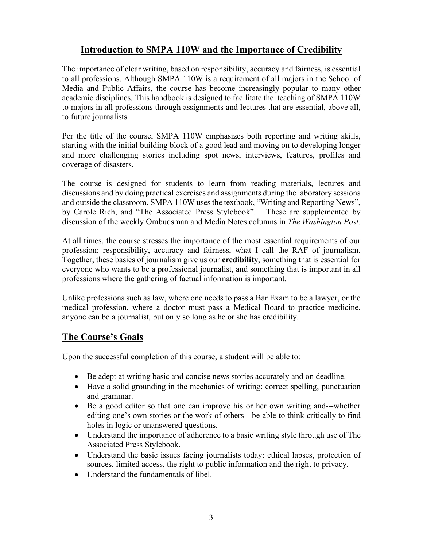# **Introduction to SMPA 110W and the Importance of Credibility**

The importance of clear writing, based on responsibility, accuracy and fairness, is essential to all professions. Although SMPA 110W is a requirement of all majors in the School of Media and Public Affairs, the course has become increasingly popular to many other academic disciplines. This handbook is designed to facilitate the teaching of SMPA 110W to majors in all professions through assignments and lectures that are essential, above all, to future journalists.

Per the title of the course, SMPA 110W emphasizes both reporting and writing skills, starting with the initial building block of a good lead and moving on to developing longer and more challenging stories including spot news, interviews, features, profiles and coverage of disasters.

The course is designed for students to learn from reading materials, lectures and discussions and by doing practical exercises and assignments during the laboratory sessions and outside the classroom. SMPA 110W uses the textbook, "Writing and Reporting News", by Carole Rich, and "The Associated Press Stylebook". These are supplemented by discussion of the weekly Ombudsman and Media Notes columns in *The Washington Post.*

At all times, the course stresses the importance of the most essential requirements of our profession: responsibility, accuracy and fairness, what I call the RAF of journalism. Together, these basics of journalism give us our **credibility**, something that is essential for everyone who wants to be a professional journalist, and something that is important in all professions where the gathering of factual information is important.

Unlike professions such as law, where one needs to pass a Bar Exam to be a lawyer, or the medical profession, where a doctor must pass a Medical Board to practice medicine, anyone can be a journalist, but only so long as he or she has credibility.

#### **The Course's Goals**

Upon the successful completion of this course, a student will be able to:

- Be adept at writing basic and concise news stories accurately and on deadline.
- Have a solid grounding in the mechanics of writing: correct spelling, punctuation and grammar.
- Be a good editor so that one can improve his or her own writing and---whether editing one's own stories or the work of others---be able to think critically to find holes in logic or unanswered questions.
- Understand the importance of adherence to a basic writing style through use of The Associated Press Stylebook.
- Understand the basic issues facing journalists today: ethical lapses, protection of sources, limited access, the right to public information and the right to privacy.
- Understand the fundamentals of libel.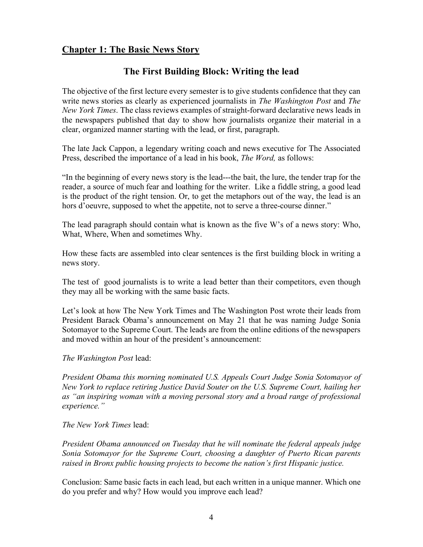# **Chapter 1: The Basic News Story**

# **The First Building Block: Writing the lead**

The objective of the first lecture every semester is to give students confidence that they can write news stories as clearly as experienced journalists in *The Washington Post* and *The New York Times*. The class reviews examples of straight-forward declarative news leads in the newspapers published that day to show how journalists organize their material in a clear, organized manner starting with the lead, or first, paragraph.

The late Jack Cappon, a legendary writing coach and news executive for The Associated Press, described the importance of a lead in his book, *The Word,* as follows:

"In the beginning of every news story is the lead---the bait, the lure, the tender trap for the reader, a source of much fear and loathing for the writer. Like a fiddle string, a good lead is the product of the right tension. Or, to get the metaphors out of the way, the lead is an hors d'oeuvre, supposed to whet the appetite, not to serve a three-course dinner."

The lead paragraph should contain what is known as the five W's of a news story: Who, What, Where, When and sometimes Why.

How these facts are assembled into clear sentences is the first building block in writing a news story.

The test of good journalists is to write a lead better than their competitors, even though they may all be working with the same basic facts.

Let's look at how The New York Times and The Washington Post wrote their leads from President Barack Obama's announcement on May 21 that he was naming Judge Sonia Sotomayor to the Supreme Court. The leads are from the online editions of the newspapers and moved within an hour of the president's announcement:

*The Washington Post* lead:

*President Obama this morning nominated U.S. Appeals Court Judge Sonia Sotomayor of New York to replace retiring Justice David Souter on the U.S. Supreme Court, hailing her as "an inspiring woman with a moving personal story and a broad range of professional experience."*

*The New York Times* lead:

*President Obama announced on Tuesday that he will nominate the federal appeals judge Sonia Sotomayor for the Supreme Court, choosing a daughter of Puerto Rican parents raised in Bronx public housing projects to become the nation's first Hispanic justice.*

Conclusion: Same basic facts in each lead, but each written in a unique manner. Which one do you prefer and why? How would you improve each lead?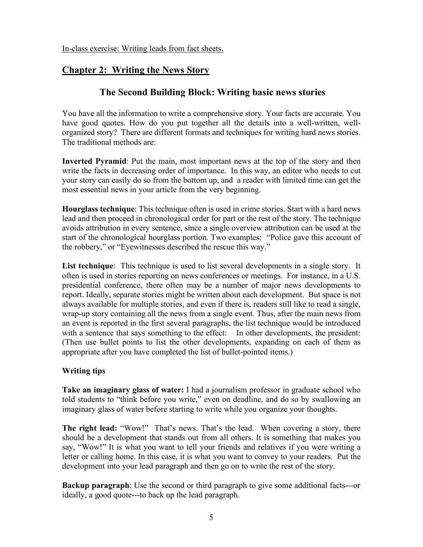In-class exercise: Writing leads from fact sheets.

# **Chapter 2: Writing the News Story**

# **The Second Building Block: Writing basic news stories**

You have all the information to write a comprehensive story. Your facts are accurate. You have good quotes. How do you put together all the details into a well-written, wellorganized story? There are different formats and techniques for writing hard news stories. The traditional methods are:

**Inverted Pyramid**: Put the main, most important news at the top of the story and then write the facts in decreasing order of importance. In this way, an editor who needs to cut your story can easily do so from the bottom up, and a reader with limited time can get the most essential news in your article from the very beginning.

**Hourglass technique**: This technique often is used in crime stories. Start with a hard news lead and then proceed in chronological order for part or the rest of the story. The technique avoids attribution in every sentence, since a single overview attribution can be used at the start of the chronological hourglass portion. Two examples: "Police gave this account of the robbery," or "Eyewitnesses described the rescue this way."

**List technique**: This technique is used to list several developments in a single story. It often is used in stories reporting on news conferences or meetings. For instance, in a U.S. presidential conference, there often may be a number of major news developments to report. Ideally, separate stories might be written about each development. But space is not always available for multiple stories, and even if there is, readers still like to read a single, wrap-up story containing all the news from a single event. Thus, after the main news from an event is reported in the first several paragraphs, the list technique would be introduced with a sentence that says something to the effect: In other developments, the president: (Then use bullet points to list the other developments, expanding on each of them as appropriate after you have completed the list of bullet-pointed items.)

#### **Writing tips**

**Take an imaginary glass of water:** I had a journalism professor in graduate school who told students to "think before you write," even on deadline, and do so by swallowing an imaginary glass of water before starting to write while you organize your thoughts.

**The right lead:** "Wow!" That's news. That's the lead. When covering a story, there should be a development that stands out from all others. It is something that makes you say, "Wow!" It is what you want to tell your friends and relatives if you were writing a letter or calling home. In this case, it is what you want to convey to your readers. Put the development into your lead paragraph and then go on to write the rest of the story.

**Backup paragraph**: Use the second or third paragraph to give some additional facts---or ideally, a good quote---to back up the lead paragraph.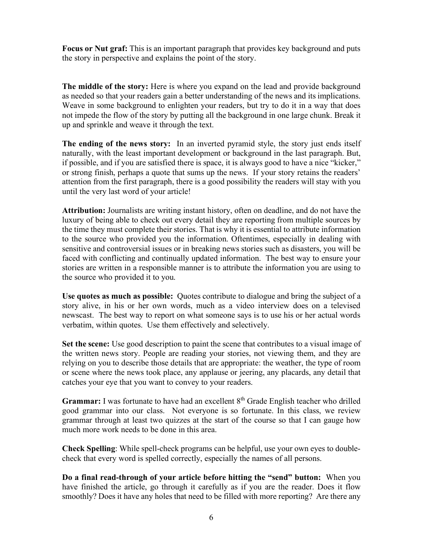**Focus or Nut graf:** This is an important paragraph that provides key background and puts the story in perspective and explains the point of the story.

**The middle of the story:** Here is where you expand on the lead and provide background as needed so that your readers gain a better understanding of the news and its implications. Weave in some background to enlighten your readers, but try to do it in a way that does not impede the flow of the story by putting all the background in one large chunk. Break it up and sprinkle and weave it through the text.

**The ending of the news story:** In an inverted pyramid style, the story just ends itself naturally, with the least important development or background in the last paragraph. But, if possible, and if you are satisfied there is space, it is always good to have a nice "kicker," or strong finish, perhaps a quote that sums up the news. If your story retains the readers' attention from the first paragraph, there is a good possibility the readers will stay with you until the very last word of your article!

**Attribution:** Journalists are writing instant history, often on deadline, and do not have the luxury of being able to check out every detail they are reporting from multiple sources by the time they must complete their stories. That is why it is essential to attribute information to the source who provided you the information. Oftentimes, especially in dealing with sensitive and controversial issues or in breaking news stories such as disasters, you will be faced with conflicting and continually updated information. The best way to ensure your stories are written in a responsible manner is to attribute the information you are using to the source who provided it to you.

**Use quotes as much as possible:** Quotes contribute to dialogue and bring the subject of a story alive, in his or her own words, much as a video interview does on a televised newscast. The best way to report on what someone says is to use his or her actual words verbatim, within quotes. Use them effectively and selectively.

**Set the scene:** Use good description to paint the scene that contributes to a visual image of the written news story. People are reading your stories, not viewing them, and they are relying on you to describe those details that are appropriate: the weather, the type of room or scene where the news took place, any applause or jeering, any placards, any detail that catches your eye that you want to convey to your readers.

**Grammar:** I was fortunate to have had an excellent 8<sup>th</sup> Grade English teacher who drilled good grammar into our class. Not everyone is so fortunate. In this class, we review grammar through at least two quizzes at the start of the course so that I can gauge how much more work needs to be done in this area.

**Check Spelling**: While spell-check programs can be helpful, use your own eyes to doublecheck that every word is spelled correctly, especially the names of all persons.

**Do a final read-through of your article before hitting the "send" button:** When you have finished the article, go through it carefully as if you are the reader. Does it flow smoothly? Does it have any holes that need to be filled with more reporting? Are there any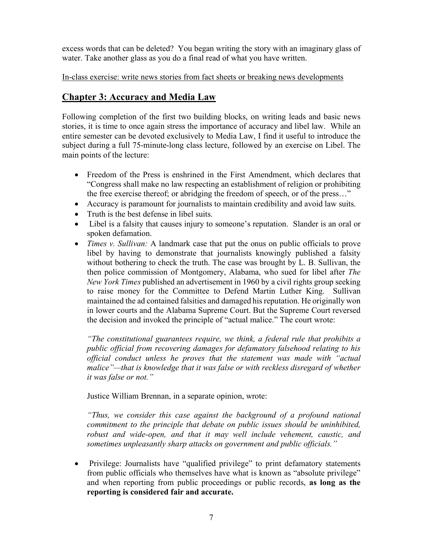excess words that can be deleted? You began writing the story with an imaginary glass of water. Take another glass as you do a final read of what you have written.

In-class exercise: write news stories from fact sheets or breaking news developments

#### **Chapter 3: Accuracy and Media Law**

Following completion of the first two building blocks, on writing leads and basic news stories, it is time to once again stress the importance of accuracy and libel law. While an entire semester can be devoted exclusively to Media Law, I find it useful to introduce the subject during a full 75-minute-long class lecture, followed by an exercise on Libel. The main points of the lecture:

- Freedom of the Press is enshrined in the First Amendment, which declares that "Congress shall make no law respecting an establishment of religion or prohibiting the free exercise thereof; or abridging the freedom of speech, or of the press…"
- Accuracy is paramount for journalists to maintain credibility and avoid law suits.
- Truth is the best defense in libel suits.
- Libel is a falsity that causes injury to someone's reputation. Slander is an oral or spoken defamation.
- *Times v. Sullivan:* A landmark case that put the onus on public officials to prove libel by having to demonstrate that journalists knowingly published a falsity without bothering to check the truth. The case was brought by L. B. Sullivan, the then police commission of Montgomery, Alabama, who sued for libel after *The New York Times* published an advertisement in 1960 by a civil rights group seeking to raise money for the Committee to Defend Martin Luther King. Sullivan maintained the ad contained falsities and damaged his reputation. He originally won in lower courts and the Alabama Supreme Court. But the Supreme Court reversed the decision and invoked the principle of "actual malice." The court wrote:

*"The constitutional guarantees require, we think, a federal rule that prohibits a public official from recovering damages for defamatory falsehood relating to his official conduct unless he proves that the statement was made with "actual malice"—that is knowledge that it was false or with reckless disregard of whether it was false or not."*

Justice William Brennan, in a separate opinion, wrote:

*"Thus, we consider this case against the background of a profound national commitment to the principle that debate on public issues should be uninhibited, robust and wide-open, and that it may well include vehement, caustic, and sometimes unpleasantly sharp attacks on government and public officials."*

• Privilege: Journalists have "qualified privilege" to print defamatory statements from public officials who themselves have what is known as "absolute privilege" and when reporting from public proceedings or public records, **as long as the reporting is considered fair and accurate.**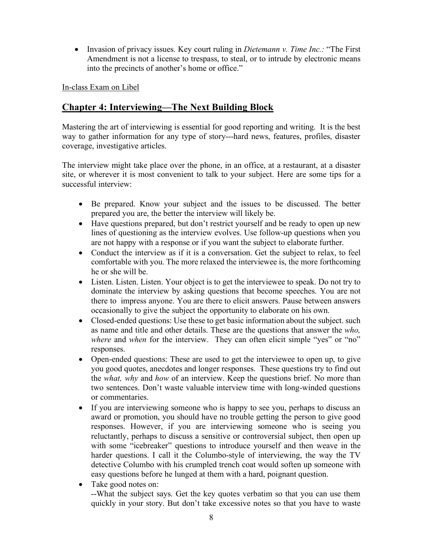• Invasion of privacy issues. Key court ruling in *Dietemann v. Time Inc.:* "The First Amendment is not a license to trespass, to steal, or to intrude by electronic means into the precincts of another's home or office."

In-class Exam on Libel

## **Chapter 4: Interviewing—The Next Building Block**

Mastering the art of interviewing is essential for good reporting and writing. It is the best way to gather information for any type of story---hard news, features, profiles, disaster coverage, investigative articles.

The interview might take place over the phone, in an office, at a restaurant, at a disaster site, or wherever it is most convenient to talk to your subject. Here are some tips for a successful interview:

- Be prepared. Know your subject and the issues to be discussed. The better prepared you are, the better the interview will likely be.
- Have questions prepared, but don't restrict yourself and be ready to open up new lines of questioning as the interview evolves. Use follow-up questions when you are not happy with a response or if you want the subject to elaborate further.
- Conduct the interview as if it is a conversation. Get the subject to relax, to feel comfortable with you. The more relaxed the interviewee is, the more forthcoming he or she will be.
- Listen. Listen. Listen. Your object is to get the interviewee to speak. Do not try to dominate the interview by asking questions that become speeches. You are not there to impress anyone. You are there to elicit answers. Pause between answers occasionally to give the subject the opportunity to elaborate on his own.
- Closed-ended questions: Use these to get basic information about the subject, such as name and title and other details. These are the questions that answer the *who, where* and *when* for the interview. They can often elicit simple "yes" or "no" responses.
- Open-ended questions: These are used to get the interviewee to open up, to give you good quotes, anecdotes and longer responses. These questions try to find out the *what, why* and *how* of an interview. Keep the questions brief. No more than two sentences. Don't waste valuable interview time with long-winded questions or commentaries.
- If you are interviewing someone who is happy to see you, perhaps to discuss an award or promotion, you should have no trouble getting the person to give good responses. However, if you are interviewing someone who is seeing you reluctantly, perhaps to discuss a sensitive or controversial subject, then open up with some "icebreaker" questions to introduce yourself and then weave in the harder questions. I call it the Columbo-style of interviewing, the way the TV detective Columbo with his crumpled trench coat would soften up someone with easy questions before he lunged at them with a hard, poignant question.
- Take good notes on: --What the subject says. Get the key quotes verbatim so that you can use them quickly in your story. But don't take excessive notes so that you have to waste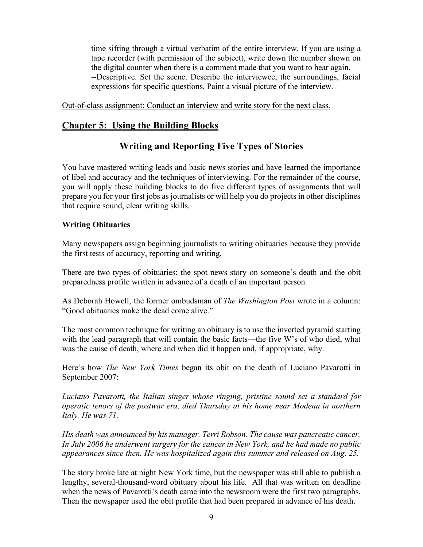time sifting through a virtual verbatim of the entire interview. If you are using a tape recorder (with permission of the subject), write down the number shown on the digital counter when there is a comment made that you want to hear again. --Descriptive. Set the scene. Describe the interviewee, the surroundings, facial expressions for specific questions. Paint a visual picture of the interview.

Out-of-class assignment: Conduct an interview and write story for the next class.

#### **Chapter 5: Using the Building Blocks**

#### **Writing and Reporting Five Types of Stories**

You have mastered writing leads and basic news stories and have learned the importance of libel and accuracy and the techniques of interviewing. For the remainder of the course, you will apply these building blocks to do five different types of assignments that will prepare you for your first jobs as journalists or will help you do projects in other disciplines that require sound, clear writing skills.

#### **Writing Obituaries**

Many newspapers assign beginning journalists to writing obituaries because they provide the first tests of accuracy, reporting and writing.

There are two types of obituaries: the spot news story on someone's death and the obit preparedness profile written in advance of a death of an important person.

As Deborah Howell, the former ombudsman of *The Washington Post* wrote in a column: "Good obituaries make the dead come alive."

The most common technique for writing an obituary is to use the inverted pyramid starting with the lead paragraph that will contain the basic facts---the five W's of who died, what was the cause of death, where and when did it happen and, if appropriate, why.

Here's how *The New York Times* began its obit on the death of Luciano Pavarotti in September 2007:

*Luciano Pavarotti, the Italian singer whose ringing, pristine sound set a standard for operatic tenors of the postwar era, died Thursday at his home near Modena in northern Italy. He was 71.*

*His death was announced by his manager, Terri Robson. The cause was pancreatic cancer. In July 2006 he underwent surgery for the cancer in New York, and he had made no public appearances since then. He was hospitalized again this summer and released on Aug. 25.*

The story broke late at night New York time, but the newspaper was still able to publish a lengthy, several-thousand-word obituary about his life. All that was written on deadline when the news of Pavarotti's death came into the newsroom were the first two paragraphs. Then the newspaper used the obit profile that had been prepared in advance of his death.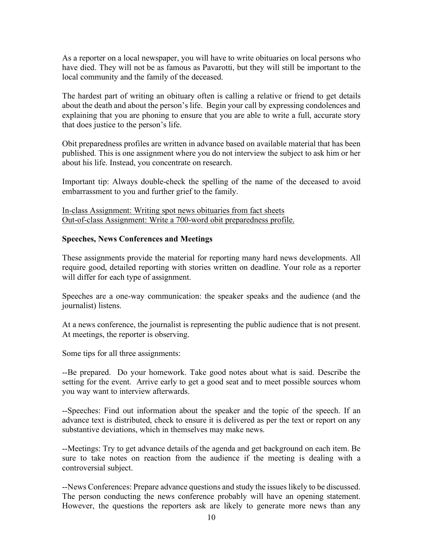As a reporter on a local newspaper, you will have to write obituaries on local persons who have died. They will not be as famous as Pavarotti, but they will still be important to the local community and the family of the deceased.

The hardest part of writing an obituary often is calling a relative or friend to get details about the death and about the person's life. Begin your call by expressing condolences and explaining that you are phoning to ensure that you are able to write a full, accurate story that does justice to the person's life.

Obit preparedness profiles are written in advance based on available material that has been published. This is one assignment where you do not interview the subject to ask him or her about his life. Instead, you concentrate on research.

Important tip: Always double-check the spelling of the name of the deceased to avoid embarrassment to you and further grief to the family.

In-class Assignment: Writing spot news obituaries from fact sheets Out-of-class Assignment: Write a 700-word obit preparedness profile.

#### **Speeches, News Conferences and Meetings**

These assignments provide the material for reporting many hard news developments. All require good, detailed reporting with stories written on deadline. Your role as a reporter will differ for each type of assignment.

Speeches are a one-way communication: the speaker speaks and the audience (and the journalist) listens.

At a news conference, the journalist is representing the public audience that is not present. At meetings, the reporter is observing.

Some tips for all three assignments:

--Be prepared. Do your homework. Take good notes about what is said. Describe the setting for the event. Arrive early to get a good seat and to meet possible sources whom you way want to interview afterwards.

--Speeches: Find out information about the speaker and the topic of the speech. If an advance text is distributed, check to ensure it is delivered as per the text or report on any substantive deviations, which in themselves may make news.

--Meetings: Try to get advance details of the agenda and get background on each item. Be sure to take notes on reaction from the audience if the meeting is dealing with a controversial subject.

--News Conferences: Prepare advance questions and study the issues likely to be discussed. The person conducting the news conference probably will have an opening statement. However, the questions the reporters ask are likely to generate more news than any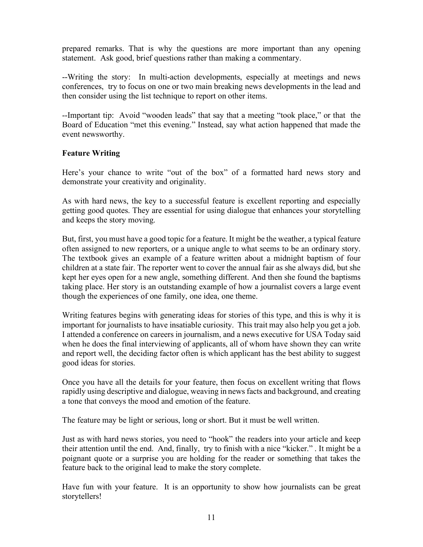prepared remarks. That is why the questions are more important than any opening statement. Ask good, brief questions rather than making a commentary.

--Writing the story: In multi-action developments, especially at meetings and news conferences, try to focus on one or two main breaking news developments in the lead and then consider using the list technique to report on other items.

--Important tip: Avoid "wooden leads" that say that a meeting "took place," or that the Board of Education "met this evening." Instead, say what action happened that made the event newsworthy.

#### **Feature Writing**

Here's your chance to write "out of the box" of a formatted hard news story and demonstrate your creativity and originality.

As with hard news, the key to a successful feature is excellent reporting and especially getting good quotes. They are essential for using dialogue that enhances your storytelling and keeps the story moving.

But, first, you must have a good topic for a feature. It might be the weather, a typical feature often assigned to new reporters, or a unique angle to what seems to be an ordinary story. The textbook gives an example of a feature written about a midnight baptism of four children at a state fair. The reporter went to cover the annual fair as she always did, but she kept her eyes open for a new angle, something different. And then she found the baptisms taking place. Her story is an outstanding example of how a journalist covers a large event though the experiences of one family, one idea, one theme.

Writing features begins with generating ideas for stories of this type, and this is why it is important for journalists to have insatiable curiosity. This trait may also help you get a job. I attended a conference on careers in journalism, and a news executive for USA Today said when he does the final interviewing of applicants, all of whom have shown they can write and report well, the deciding factor often is which applicant has the best ability to suggest good ideas for stories.

Once you have all the details for your feature, then focus on excellent writing that flows rapidly using descriptive and dialogue, weaving in news facts and background, and creating a tone that conveys the mood and emotion of the feature.

The feature may be light or serious, long or short. But it must be well written.

Just as with hard news stories, you need to "hook" the readers into your article and keep their attention until the end. And, finally, try to finish with a nice "kicker." . It might be a poignant quote or a surprise you are holding for the reader or something that takes the feature back to the original lead to make the story complete.

Have fun with your feature. It is an opportunity to show how journalists can be great storytellers!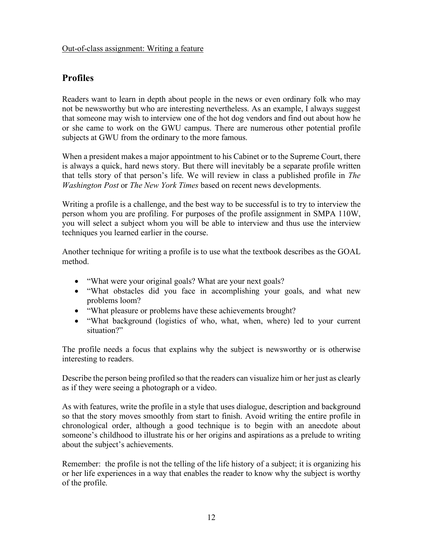#### **Profiles**

Readers want to learn in depth about people in the news or even ordinary folk who may not be newsworthy but who are interesting nevertheless. As an example, I always suggest that someone may wish to interview one of the hot dog vendors and find out about how he or she came to work on the GWU campus. There are numerous other potential profile subjects at GWU from the ordinary to the more famous.

When a president makes a major appointment to his Cabinet or to the Supreme Court, there is always a quick, hard news story. But there will inevitably be a separate profile written that tells story of that person's life. We will review in class a published profile in *The Washington Post* or *The New York Times* based on recent news developments.

Writing a profile is a challenge, and the best way to be successful is to try to interview the person whom you are profiling. For purposes of the profile assignment in SMPA 110W, you will select a subject whom you will be able to interview and thus use the interview techniques you learned earlier in the course.

Another technique for writing a profile is to use what the textbook describes as the GOAL method.

- "What were your original goals? What are your next goals?
- "What obstacles did you face in accomplishing your goals, and what new problems loom?
- "What pleasure or problems have these achievements brought?
- "What background (logistics of who, what, when, where) led to your current situation?"

The profile needs a focus that explains why the subject is newsworthy or is otherwise interesting to readers.

Describe the person being profiled so that the readers can visualize him or her just as clearly as if they were seeing a photograph or a video.

As with features, write the profile in a style that uses dialogue, description and background so that the story moves smoothly from start to finish. Avoid writing the entire profile in chronological order, although a good technique is to begin with an anecdote about someone's childhood to illustrate his or her origins and aspirations as a prelude to writing about the subject's achievements.

Remember: the profile is not the telling of the life history of a subject; it is organizing his or her life experiences in a way that enables the reader to know why the subject is worthy of the profile.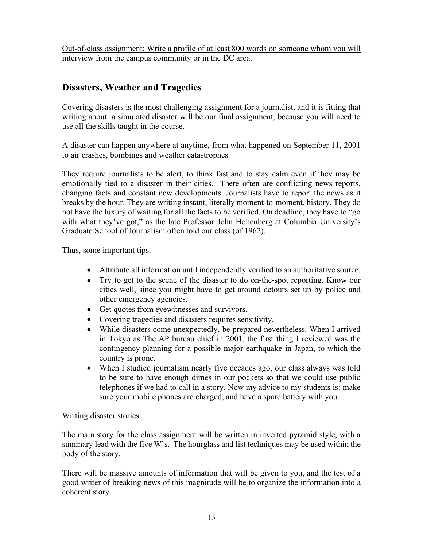Out-of-class assignment: Write a profile of at least 800 words on someone whom you will interview from the campus community or in the DC area.

#### **Disasters, Weather and Tragedies**

Covering disasters is the most challenging assignment for a journalist, and it is fitting that writing about a simulated disaster will be our final assignment, because you will need to use all the skills taught in the course.

A disaster can happen anywhere at anytime, from what happened on September 11, 2001 to air crashes, bombings and weather catastrophes.

They require journalists to be alert, to think fast and to stay calm even if they may be emotionally tied to a disaster in their cities. There often are conflicting news reports, changing facts and constant new developments. Journalists have to report the news as it breaks by the hour. They are writing instant, literally moment-to-moment, history. They do not have the luxury of waiting for all the facts to be verified. On deadline, they have to "go with what they've got," as the late Professor John Hohenberg at Columbia University's Graduate School of Journalism often told our class (of 1962).

Thus, some important tips:

- Attribute all information until independently verified to an authoritative source.
- Try to get to the scene of the disaster to do on-the-spot reporting. Know our cities well, since you might have to get around detours set up by police and other emergency agencies.
- Get quotes from eyewitnesses and survivors.
- Covering tragedies and disasters requires sensitivity.
- While disasters come unexpectedly, be prepared nevertheless. When I arrived in Tokyo as The AP bureau chief in 2001, the first thing I reviewed was the contingency planning for a possible major earthquake in Japan, to which the country is prone.
- When I studied journalism nearly five decades ago, our class always was told to be sure to have enough dimes in our pockets so that we could use public telephones if we had to call in a story. Now my advice to my students is: make sure your mobile phones are charged, and have a spare battery with you.

Writing disaster stories:

The main story for the class assignment will be written in inverted pyramid style, with a summary lead with the five W's. The hourglass and list techniques may be used within the body of the story.

There will be massive amounts of information that will be given to you, and the test of a good writer of breaking news of this magnitude will be to organize the information into a coherent story.